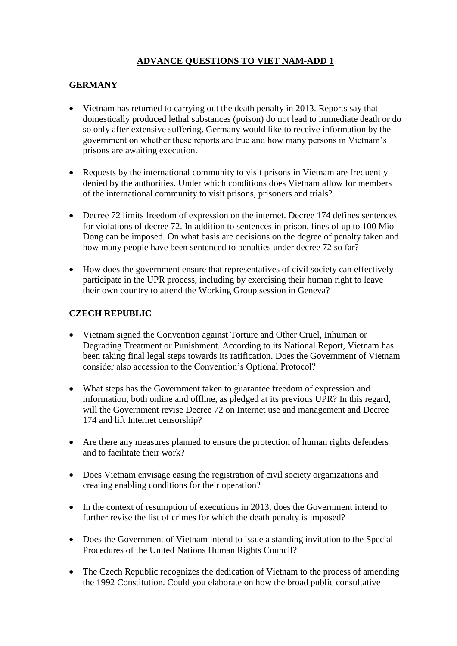# **ADVANCE QUESTIONS TO VIET NAM-ADD 1**

### **GERMANY**

- Vietnam has returned to carrying out the death penalty in 2013. Reports say that domestically produced lethal substances (poison) do not lead to immediate death or do so only after extensive suffering. Germany would like to receive information by the government on whether these reports are true and how many persons in Vietnam's prisons are awaiting execution.
- Requests by the international community to visit prisons in Vietnam are frequently denied by the authorities. Under which conditions does Vietnam allow for members of the international community to visit prisons, prisoners and trials?
- Decree 72 limits freedom of expression on the internet. Decree 174 defines sentences for violations of decree 72. In addition to sentences in prison, fines of up to 100 Mio Dong can be imposed. On what basis are decisions on the degree of penalty taken and how many people have been sentenced to penalties under decree 72 so far?
- How does the government ensure that representatives of civil society can effectively participate in the UPR process, including by exercising their human right to leave their own country to attend the Working Group session in Geneva?

#### **CZECH REPUBLIC**

- Vietnam signed the Convention against Torture and Other Cruel, Inhuman or Degrading Treatment or Punishment. According to its National Report, Vietnam has been taking final legal steps towards its ratification. Does the Government of Vietnam consider also accession to the Convention's Optional Protocol?
- What steps has the Government taken to guarantee freedom of expression and information, both online and offline, as pledged at its previous UPR? In this regard, will the Government revise Decree 72 on Internet use and management and Decree 174 and lift Internet censorship?
- Are there any measures planned to ensure the protection of human rights defenders and to facilitate their work?
- Does Vietnam envisage easing the registration of civil society organizations and creating enabling conditions for their operation?
- In the context of resumption of executions in 2013, does the Government intend to further revise the list of crimes for which the death penalty is imposed?
- Does the Government of Vietnam intend to issue a standing invitation to the Special Procedures of the United Nations Human Rights Council?
- The Czech Republic recognizes the dedication of Vietnam to the process of amending the 1992 Constitution. Could you elaborate on how the broad public consultative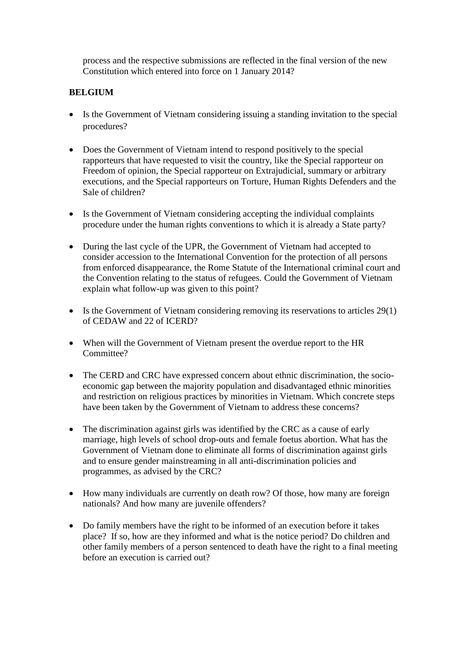process and the respective submissions are reflected in the final version of the new Constitution which entered into force on 1 January 2014?

### **BELGIUM**

- Is the Government of Vietnam considering issuing a standing invitation to the special procedures?
- Does the Government of Vietnam intend to respond positively to the special rapporteurs that have requested to visit the country, like the Special rapporteur on Freedom of opinion, the Special rapporteur on Extrajudicial, summary or arbitrary executions, and the Special rapporteurs on Torture, Human Rights Defenders and the Sale of children?
- Is the Government of Vietnam considering accepting the individual complaints procedure under the human rights conventions to which it is already a State party?
- During the last cycle of the UPR, the Government of Vietnam had accepted to consider accession to the International Convention for the protection of all persons from enforced disappearance, the Rome Statute of the International criminal court and the Convention relating to the status of refugees. Could the Government of Vietnam explain what follow-up was given to this point?
- Is the Government of Vietnam considering removing its reservations to articles 29(1) of CEDAW and 22 of ICERD?
- When will the Government of Vietnam present the overdue report to the HR Committee?
- The CERD and CRC have expressed concern about ethnic discrimination, the socioeconomic gap between the majority population and disadvantaged ethnic minorities and restriction on religious practices by minorities in Vietnam. Which concrete steps have been taken by the Government of Vietnam to address these concerns?
- The discrimination against girls was identified by the CRC as a cause of early marriage, high levels of school drop-outs and female foetus abortion. What has the Government of Vietnam done to eliminate all forms of discrimination against girls and to ensure gender mainstreaming in all anti-discrimination policies and programmes, as advised by the CRC?
- How many individuals are currently on death row? Of those, how many are foreign nationals? And how many are juvenile offenders?
- Do family members have the right to be informed of an execution before it takes place? If so, how are they informed and what is the notice period? Do children and other family members of a person sentenced to death have the right to a final meeting before an execution is carried out?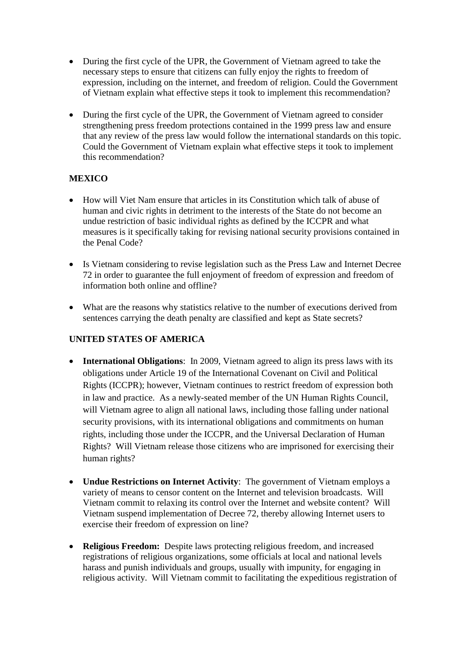- During the first cycle of the UPR, the Government of Vietnam agreed to take the necessary steps to ensure that citizens can fully enjoy the rights to freedom of expression, including on the internet, and freedom of religion. Could the Government of Vietnam explain what effective steps it took to implement this recommendation?
- During the first cycle of the UPR, the Government of Vietnam agreed to consider strengthening press freedom protections contained in the 1999 press law and ensure that any review of the press law would follow the international standards on this topic. Could the Government of Vietnam explain what effective steps it took to implement this recommendation?

#### **MEXICO**

- How will Viet Nam ensure that articles in its Constitution which talk of abuse of human and civic rights in detriment to the interests of the State do not become an undue restriction of basic individual rights as defined by the ICCPR and what measures is it specifically taking for revising national security provisions contained in the Penal Code?
- Is Vietnam considering to revise legislation such as the Press Law and Internet Decree 72 in order to guarantee the full enjoyment of freedom of expression and freedom of information both online and offline?
- What are the reasons why statistics relative to the number of executions derived from sentences carrying the death penalty are classified and kept as State secrets?

## **UNITED STATES OF AMERICA**

- **International Obligations**: In 2009, Vietnam agreed to align its press laws with its obligations under Article 19 of the International Covenant on Civil and Political Rights (ICCPR); however, Vietnam continues to restrict freedom of expression both in law and practice. As a newly-seated member of the UN Human Rights Council, will Vietnam agree to align all national laws, including those falling under national security provisions, with its international obligations and commitments on human rights, including those under the ICCPR, and the Universal Declaration of Human Rights? Will Vietnam release those citizens who are imprisoned for exercising their human rights?
- **Undue Restrictions on Internet Activity**: The government of Vietnam employs a variety of means to censor content on the Internet and television broadcasts. Will Vietnam commit to relaxing its control over the Internet and website content? Will Vietnam suspend implementation of Decree 72, thereby allowing Internet users to exercise their freedom of expression on line?
- **Religious Freedom:** Despite laws protecting religious freedom, and increased registrations of religious organizations, some officials at local and national levels harass and punish individuals and groups, usually with impunity, for engaging in religious activity. Will Vietnam commit to facilitating the expeditious registration of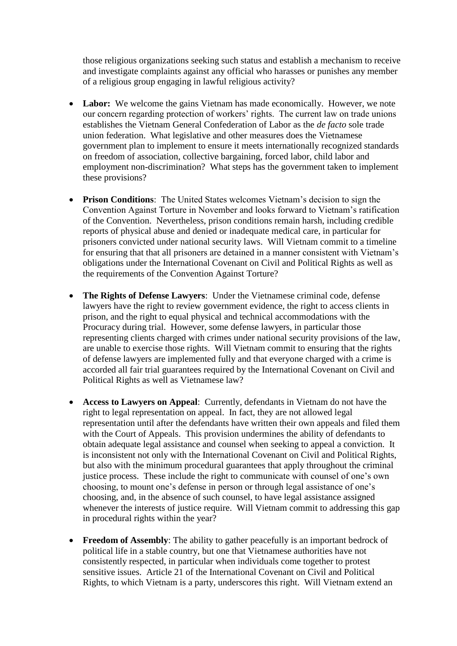those religious organizations seeking such status and establish a mechanism to receive and investigate complaints against any official who harasses or punishes any member of a religious group engaging in lawful religious activity?

- **Labor:** We welcome the gains Vietnam has made economically. However, we note our concern regarding protection of workers' rights. The current law on trade unions establishes the Vietnam General Confederation of Labor as the *de facto* sole trade union federation. What legislative and other measures does the Vietnamese government plan to implement to ensure it meets internationally recognized standards on freedom of association, collective bargaining, forced labor, child labor and employment non-discrimination? What steps has the government taken to implement these provisions?
- **Prison Conditions**: The United States welcomes Vietnam's decision to sign the Convention Against Torture in November and looks forward to Vietnam's ratification of the Convention. Nevertheless, prison conditions remain harsh, including credible reports of physical abuse and denied or inadequate medical care, in particular for prisoners convicted under national security laws. Will Vietnam commit to a timeline for ensuring that that all prisoners are detained in a manner consistent with Vietnam's obligations under the International Covenant on Civil and Political Rights as well as the requirements of the Convention Against Torture?
- **The Rights of Defense Lawyers**: Under the Vietnamese criminal code, defense lawyers have the right to review government evidence, the right to access clients in prison, and the right to equal physical and technical accommodations with the Procuracy during trial. However, some defense lawyers, in particular those representing clients charged with crimes under national security provisions of the law, are unable to exercise those rights. Will Vietnam commit to ensuring that the rights of defense lawyers are implemented fully and that everyone charged with a crime is accorded all fair trial guarantees required by the International Covenant on Civil and Political Rights as well as Vietnamese law?
- **Access to Lawyers on Appeal**: Currently, defendants in Vietnam do not have the right to legal representation on appeal. In fact, they are not allowed legal representation until after the defendants have written their own appeals and filed them with the Court of Appeals. This provision undermines the ability of defendants to obtain adequate legal assistance and counsel when seeking to appeal a conviction. It is inconsistent not only with the International Covenant on Civil and Political Rights, but also with the minimum procedural guarantees that apply throughout the criminal justice process. These include the right to communicate with counsel of one's own choosing, to mount one's defense in person or through legal assistance of one's choosing, and, in the absence of such counsel, to have legal assistance assigned whenever the interests of justice require. Will Vietnam commit to addressing this gap in procedural rights within the year?
- **Freedom of Assembly**: The ability to gather peacefully is an important bedrock of political life in a stable country, but one that Vietnamese authorities have not consistently respected, in particular when individuals come together to protest sensitive issues. Article 21 of the International Covenant on Civil and Political Rights, to which Vietnam is a party, underscores this right. Will Vietnam extend an